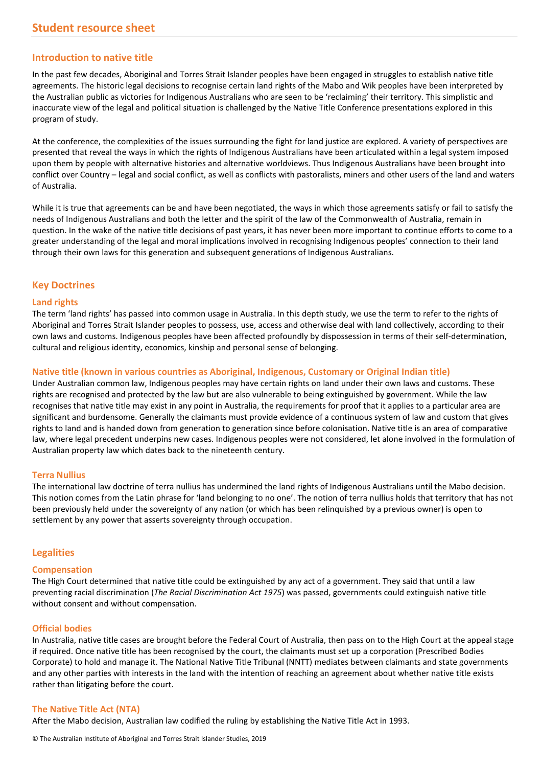# **Introduction to native title**

In the past few decades, Aboriginal and Torres Strait Islander peoples have been engaged in struggles to establish native title agreements. The historic legal decisions to recognise certain land rights of the Mabo and Wik peoples have been interpreted by the Australian public as victories for Indigenous Australians who are seen to be 'reclaiming' their territory. This simplistic and inaccurate view of the legal and political situation is challenged by the Native Title Conference presentations explored in this program of study.

At the conference, the complexities of the issues surrounding the fight for land justice are explored. A variety of perspectives are presented that reveal the ways in which the rights of Indigenous Australians have been articulated within a legal system imposed upon them by people with alternative histories and alternative worldviews. Thus Indigenous Australians have been brought into conflict over Country – legal and social conflict, as well as conflicts with pastoralists, miners and other users of the land and waters of Australia.

While it is true that agreements can be and have been negotiated, the ways in which those agreements satisfy or fail to satisfy the needs of Indigenous Australians and both the letter and the spirit of the law of the Commonwealth of Australia, remain in question. In the wake of the native title decisions of past years, it has never been more important to continue efforts to come to a greater understanding of the legal and moral implications involved in recognising Indigenous peoples' connection to their land through their own laws for this generation and subsequent generations of Indigenous Australians.

# **Key Doctrines**

## **Land rights**

The term 'land rights' has passed into common usage in Australia. In this depth study, we use the term to refer to the rights of Aboriginal and Torres Strait Islander peoples to possess, use, access and otherwise deal with land collectively, according to their own laws and customs. Indigenous peoples have been affected profoundly by dispossession in terms of their self-determination, cultural and religious identity, economics, kinship and personal sense of belonging.

## **Native title (known in various countries as Aboriginal, Indigenous, Customary or Original Indian title)**

Under Australian common law, Indigenous peoples may have certain rights on land under their own laws and customs. These rights are recognised and protected by the law but are also vulnerable to being extinguished by government. While the law recognises that native title may exist in any point in Australia, the requirements for proof that it applies to a particular area are significant and burdensome. Generally the claimants must provide evidence of a continuous system of law and custom that gives rights to land and is handed down from generation to generation since before colonisation. Native title is an area of comparative law, where legal precedent underpins new cases. Indigenous peoples were not considered, let alone involved in the formulation of Australian property law which dates back to the nineteenth century.

### **Terra Nullius**

The international law doctrine of terra nullius has undermined the land rights of Indigenous Australians until the Mabo decision. This notion comes from the Latin phrase for 'land belonging to no one'. The notion of terra nullius holds that territory that has not been previously held under the sovereignty of any nation (or which has been relinquished by a previous owner) is open to settlement by any power that asserts sovereignty through occupation.

# **Legalities**

### **Compensation**

The High Court determined that native title could be extinguished by any act of a government. They said that until a law preventing racial discrimination (*The Racial Discrimination Act 1975*) was passed, governments could extinguish native title without consent and without compensation.

### **Official bodies**

In Australia, native title cases are brought before the Federal Court of Australia, then pass on to the High Court at the appeal stage if required. Once native title has been recognised by the court, the claimants must set up a corporation (Prescribed Bodies Corporate) to hold and manage it. The National Native Title Tribunal (NNTT) mediates between claimants and state governments and any other parties with interests in the land with the intention of reaching an agreement about whether native title exists rather than litigating before the court.

## **The Native Title Act (NTA)**

After the Mabo decision, Australian law codified the ruling by establishing the Native Title Act in 1993.